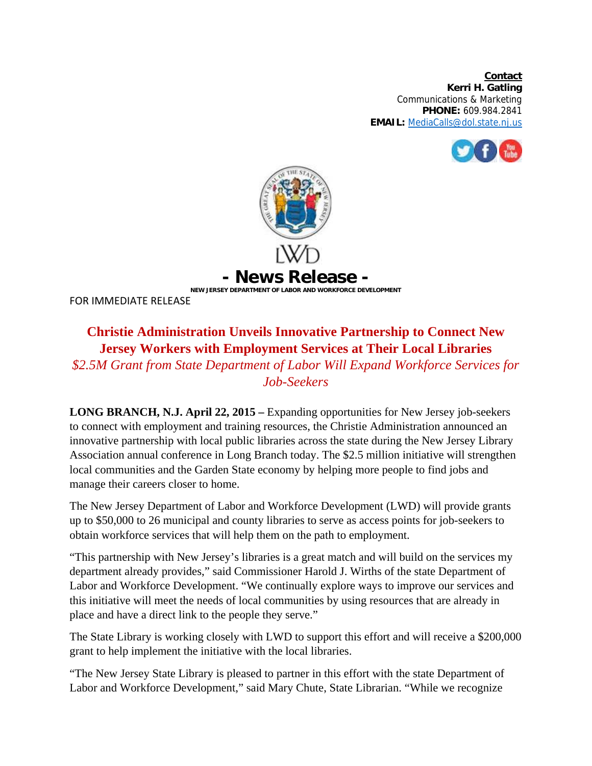**Contact Kerri H. Gatling**  Communications & Marketing **PHONE:** 609.984.2841 **EMAIL:** MediaCalls@dol.state.nj.us





FOR IMMEDIATE RELEASE

## **Christie Administration Unveils Innovative Partnership to Connect New Jersey Workers with Employment Services at Their Local Libraries**

*\$2.5M Grant from State Department of Labor Will Expand Workforce Services for Job-Seekers* 

**LONG BRANCH, N.J. April 22, 2015 –** Expanding opportunities for New Jersey job-seekers to connect with employment and training resources, the Christie Administration announced an innovative partnership with local public libraries across the state during the New Jersey Library Association annual conference in Long Branch today. The \$2.5 million initiative will strengthen local communities and the Garden State economy by helping more people to find jobs and manage their careers closer to home.

The New Jersey Department of Labor and Workforce Development (LWD) will provide grants up to \$50,000 to 26 municipal and county libraries to serve as access points for job-seekers to obtain workforce services that will help them on the path to employment.

"This partnership with New Jersey's libraries is a great match and will build on the services my department already provides," said Commissioner Harold J. Wirths of the state Department of Labor and Workforce Development. "We continually explore ways to improve our services and this initiative will meet the needs of local communities by using resources that are already in place and have a direct link to the people they serve."

The State Library is working closely with LWD to support this effort and will receive a \$200,000 grant to help implement the initiative with the local libraries.

"The New Jersey State Library is pleased to partner in this effort with the state Department of Labor and Workforce Development," said Mary Chute, State Librarian. "While we recognize